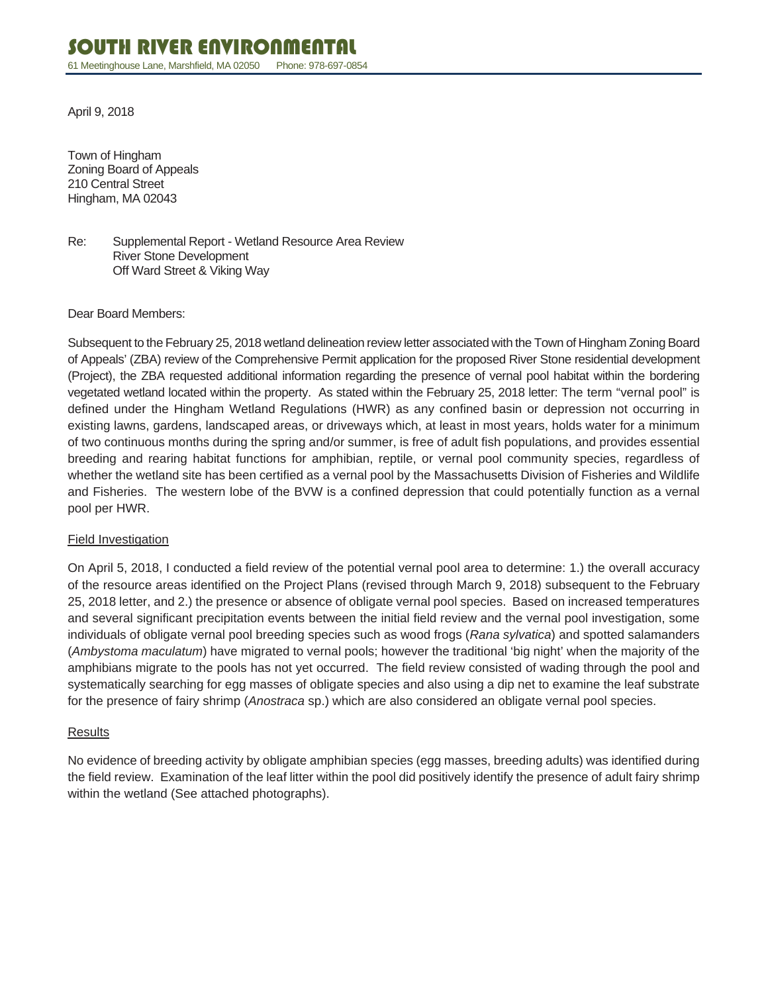April 9, 2018

Town of Hingham Zoning Board of Appeals 210 Central Street Hingham, MA 02043

Re: Supplemental Report - Wetland Resource Area Review River Stone Development Off Ward Street & Viking Way

#### Dear Board Members:

Subsequent to the February 25, 2018 wetland delineation review letter associated with the Town of Hingham Zoning Board of Appeals' (ZBA) review of the Comprehensive Permit application for the proposed River Stone residential development (Project), the ZBA requested additional information regarding the presence of vernal pool habitat within the bordering vegetated wetland located within the property. As stated within the February 25, 2018 letter: The term "vernal pool" is defined under the Hingham Wetland Regulations (HWR) as any confined basin or depression not occurring in existing lawns, gardens, landscaped areas, or driveways which, at least in most years, holds water for a minimum of two continuous months during the spring and/or summer, is free of adult fish populations, and provides essential breeding and rearing habitat functions for amphibian, reptile, or vernal pool community species, regardless of whether the wetland site has been certified as a vernal pool by the Massachusetts Division of Fisheries and Wildlife and Fisheries. The western lobe of the BVW is a confined depression that could potentially function as a vernal pool per HWR.

#### Field Investigation

On April 5, 2018, I conducted a field review of the potential vernal pool area to determine: 1.) the overall accuracy of the resource areas identified on the Project Plans (revised through March 9, 2018) subsequent to the February 25, 2018 letter, and 2.) the presence or absence of obligate vernal pool species. Based on increased temperatures and several significant precipitation events between the initial field review and the vernal pool investigation, some individuals of obligate vernal pool breeding species such as wood frogs (*Rana sylvatica*) and spotted salamanders (*Ambystoma maculatum*) have migrated to vernal pools; however the traditional 'big night' when the majority of the amphibians migrate to the pools has not yet occurred. The field review consisted of wading through the pool and systematically searching for egg masses of obligate species and also using a dip net to examine the leaf substrate for the presence of fairy shrimp (*Anostraca* sp.) which are also considered an obligate vernal pool species.

#### **Results**

No evidence of breeding activity by obligate amphibian species (egg masses, breeding adults) was identified during the field review. Examination of the leaf litter within the pool did positively identify the presence of adult fairy shrimp within the wetland (See attached photographs).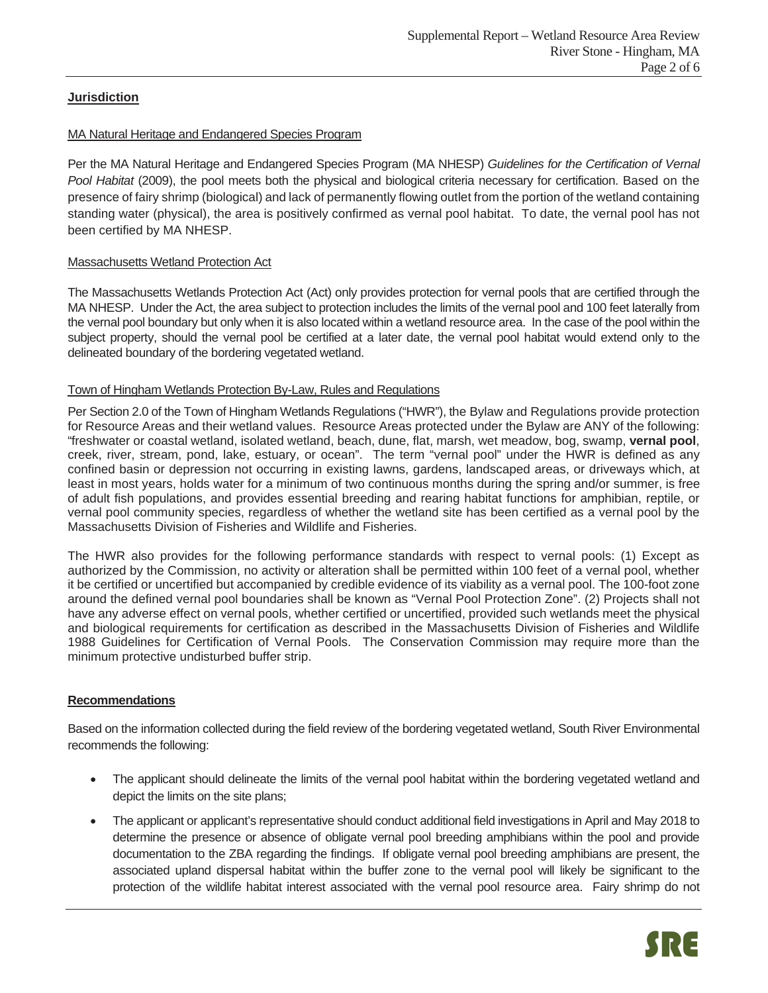## **Jurisdiction**

### MA Natural Heritage and Endangered Species Program

Per the MA Natural Heritage and Endangered Species Program (MA NHESP) *Guidelines for the Certification of Vernal Pool Habitat* (2009), the pool meets both the physical and biological criteria necessary for certification. Based on the presence of fairy shrimp (biological) and lack of permanently flowing outlet from the portion of the wetland containing standing water (physical), the area is positively confirmed as vernal pool habitat. To date, the vernal pool has not been certified by MA NHESP.

#### Massachusetts Wetland Protection Act

The Massachusetts Wetlands Protection Act (Act) only provides protection for vernal pools that are certified through the MA NHESP. Under the Act, the area subject to protection includes the limits of the vernal pool and 100 feet laterally from the vernal pool boundary but only when it is also located within a wetland resource area. In the case of the pool within the subject property, should the vernal pool be certified at a later date, the vernal pool habitat would extend only to the delineated boundary of the bordering vegetated wetland.

#### Town of Hingham Wetlands Protection By-Law, Rules and Regulations

Per Section 2.0 of the Town of Hingham Wetlands Regulations ("HWR"), the Bylaw and Regulations provide protection for Resource Areas and their wetland values. Resource Areas protected under the Bylaw are ANY of the following: "freshwater or coastal wetland, isolated wetland, beach, dune, flat, marsh, wet meadow, bog, swamp, **vernal pool**, creek, river, stream, pond, lake, estuary, or ocean". The term "vernal pool" under the HWR is defined as any confined basin or depression not occurring in existing lawns, gardens, landscaped areas, or driveways which, at least in most years, holds water for a minimum of two continuous months during the spring and/or summer, is free of adult fish populations, and provides essential breeding and rearing habitat functions for amphibian, reptile, or vernal pool community species, regardless of whether the wetland site has been certified as a vernal pool by the Massachusetts Division of Fisheries and Wildlife and Fisheries.

The HWR also provides for the following performance standards with respect to vernal pools: (1) Except as authorized by the Commission, no activity or alteration shall be permitted within 100 feet of a vernal pool, whether it be certified or uncertified but accompanied by credible evidence of its viability as a vernal pool. The 100-foot zone around the defined vernal pool boundaries shall be known as "Vernal Pool Protection Zone". (2) Projects shall not have any adverse effect on vernal pools, whether certified or uncertified, provided such wetlands meet the physical and biological requirements for certification as described in the Massachusetts Division of Fisheries and Wildlife 1988 Guidelines for Certification of Vernal Pools. The Conservation Commission may require more than the minimum protective undisturbed buffer strip.

## **Recommendations**

Based on the information collected during the field review of the bordering vegetated wetland, South River Environmental recommends the following:

- The applicant should delineate the limits of the vernal pool habitat within the bordering vegetated wetland and depict the limits on the site plans;
- x The applicant or applicant's representative should conduct additional field investigations in April and May 2018 to determine the presence or absence of obligate vernal pool breeding amphibians within the pool and provide documentation to the ZBA regarding the findings. If obligate vernal pool breeding amphibians are present, the associated upland dispersal habitat within the buffer zone to the vernal pool will likely be significant to the protection of the wildlife habitat interest associated with the vernal pool resource area. Fairy shrimp do not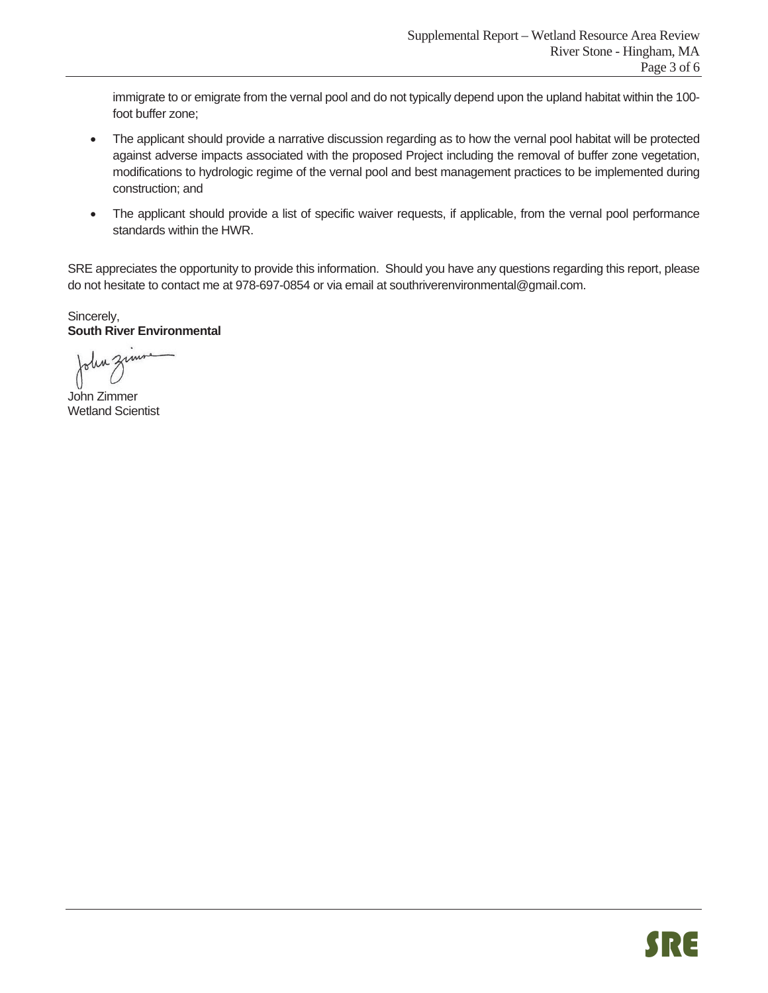immigrate to or emigrate from the vernal pool and do not typically depend upon the upland habitat within the 100 foot buffer zone;

- The applicant should provide a narrative discussion regarding as to how the vernal pool habitat will be protected against adverse impacts associated with the proposed Project including the removal of buffer zone vegetation, modifications to hydrologic regime of the vernal pool and best management practices to be implemented during construction; and
- The applicant should provide a list of specific waiver requests, if applicable, from the vernal pool performance standards within the HWR.

SRE appreciates the opportunity to provide this information. Should you have any questions regarding this report, please do not hesitate to contact me at 978-697-0854 or via email at southriverenvironmental@gmail.com.

Sincerely, **South River Environmental** 

John zu

John Zimmer Wetland Scientist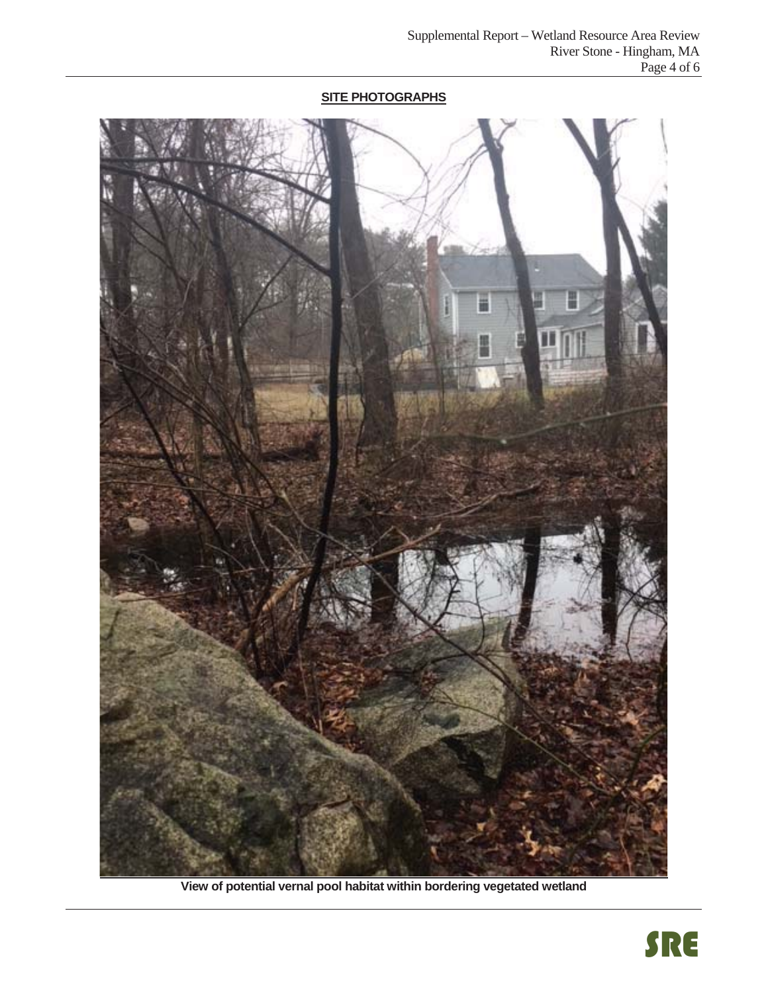# **SITE PHOTOGRAPHS**



**View of potential vernal pool habitat within bordering vegetated wetland**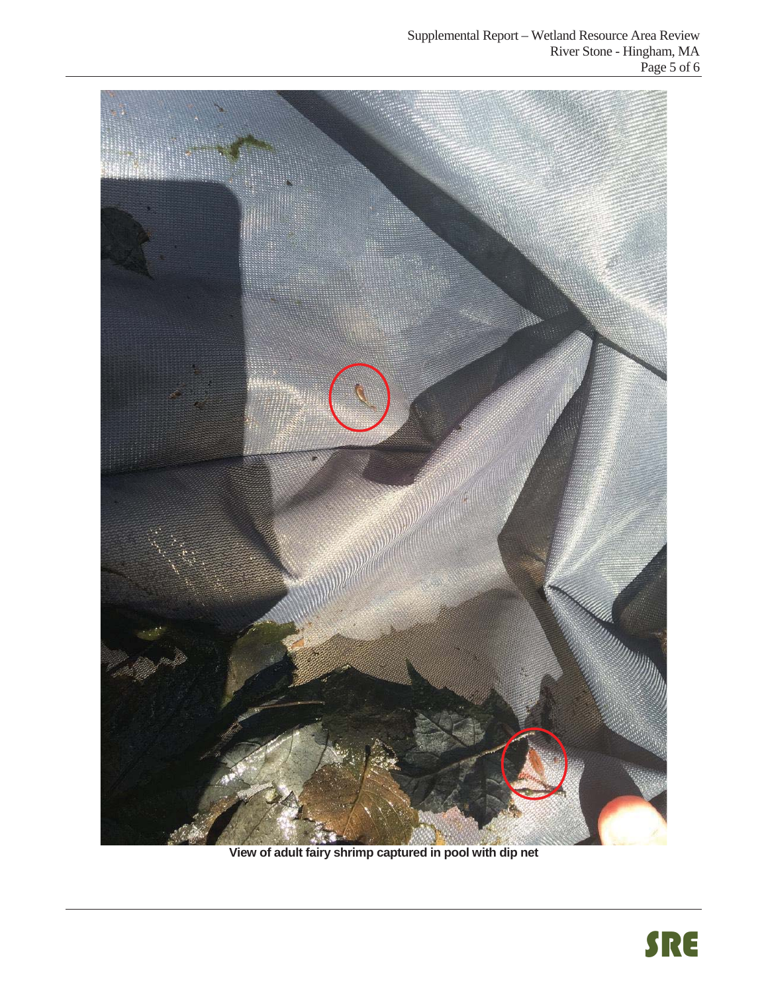

**View of adult fairy shrimp captured in pool with dip net**